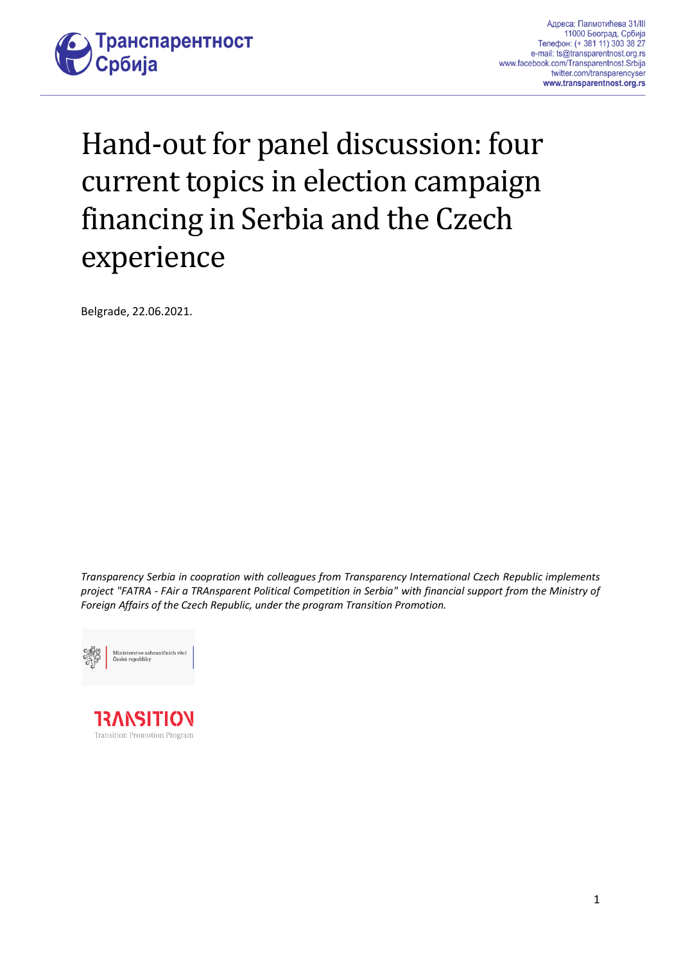

# Hand-out for panel discussion: four current topics in election campaign financing in Serbia and the Czech experience

Belgrade, 22.06.2021.

*Transparency Serbia in coopration with colleagues from Transparency International Czech Republic implements project "FATRA - FAir a TRAnsparent Political Competition in Serbia" with financial support from the Ministry of Foreign Affairs of the Czech Republic, under the program Transition Promotion.*



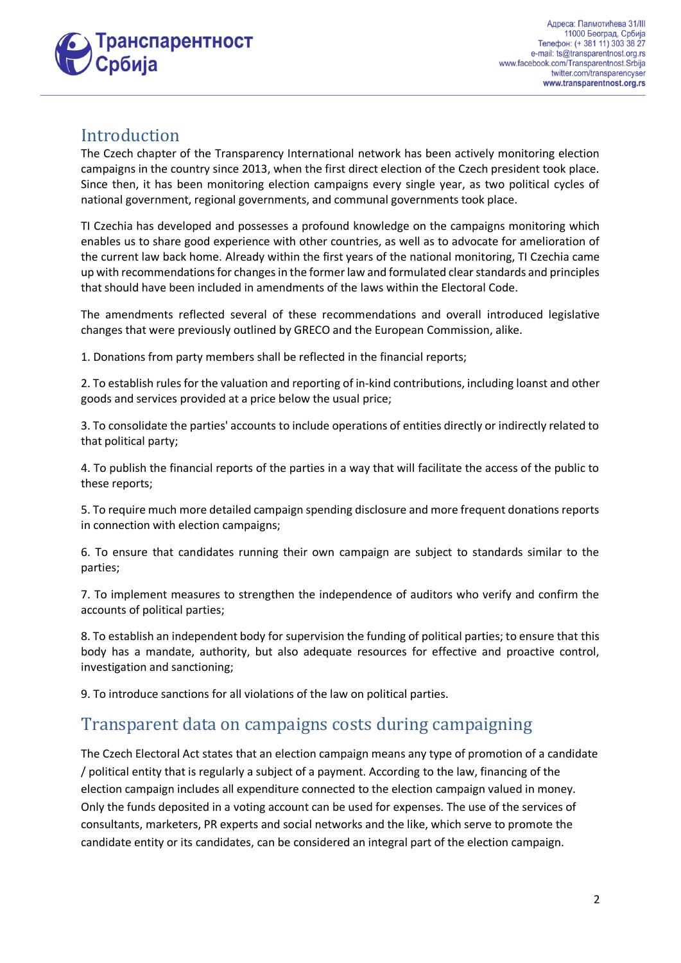

#### Introduction

The Czech chapter of the Transparency International network has been actively monitoring election campaigns in the country since 2013, when the first direct election of the Czech president took place. Since then, it has been monitoring election campaigns every single year, as two political cycles of national government, regional governments, and communal governments took place.

TI Czechia has developed and possesses a profound knowledge on the campaigns monitoring which enables us to share good experience with other countries, as well as to advocate for amelioration of the current law back home. Already within the first years of the national monitoring, TI Czechia came up with recommendations for changes in the former law and formulated clear standards and principles that should have been included in amendments of the laws within the Electoral Code.

The amendments reflected several of these recommendations and overall introduced legislative changes that were previously outlined by GRECO and the European Commission, alike.

1. Donations from party members shall be reflected in the financial reports;

2. To establish rules for the valuation and reporting of in-kind contributions, including loanst and other goods and services provided at a price below the usual price;

3. To consolidate the parties' accounts to include operations of entities directly or indirectly related to that political party;

4. To publish the financial reports of the parties in a way that will facilitate the access of the public to these reports;

5. To require much more detailed campaign spending disclosure and more frequent donations reports in connection with election campaigns;

6. To ensure that candidates running their own campaign are subject to standards similar to the parties;

7. To implement measures to strengthen the independence of auditors who verify and confirm the accounts of political parties;

8. To establish an independent body for supervision the funding of political parties; to ensure that this body has a mandate, authority, but also adequate resources for effective and proactive control, investigation and sanctioning;

9. To introduce sanctions for all violations of the law on political parties.

#### Transparent data on campaigns costs during campaigning

The Czech Electoral Act states that an election campaign means any type of promotion of a candidate / political entity that is regularly a subject of a payment. According to the law, financing of the election campaign includes all expenditure connected to the election campaign valued in money. Only the funds deposited in a voting account can be used for expenses. The use of the services of consultants, marketers, PR experts and social networks and the like, which serve to promote the candidate entity or its candidates, can be considered an integral part of the election campaign.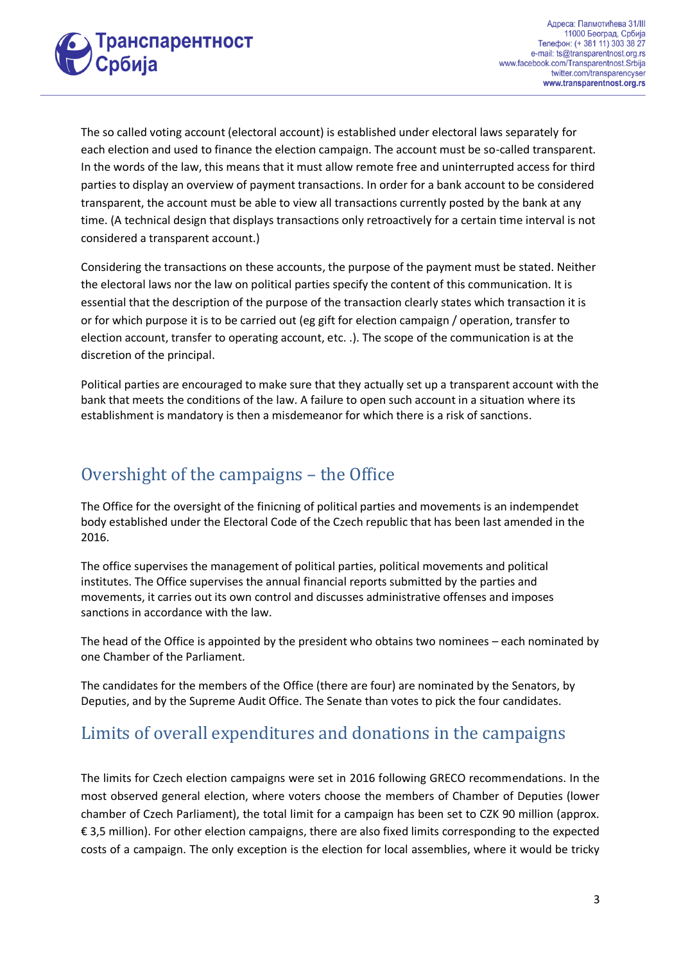

The so called voting account (electoral account) is established under electoral laws separately for each election and used to finance the election campaign. The account must be so-called transparent. In the words of the law, this means that it must allow remote free and uninterrupted access for third parties to display an overview of payment transactions. In order for a bank account to be considered transparent, the account must be able to view all transactions currently posted by the bank at any time. (A technical design that displays transactions only retroactively for a certain time interval is not considered a transparent account.)

Considering the transactions on these accounts, the purpose of the payment must be stated. Neither the electoral laws nor the law on political parties specify the content of this communication. It is essential that the description of the purpose of the transaction clearly states which transaction it is or for which purpose it is to be carried out (eg gift for election campaign / operation, transfer to election account, transfer to operating account, etc. .). The scope of the communication is at the discretion of the principal.

Political parties are encouraged to make sure that they actually set up a transparent account with the bank that meets the conditions of the law. A failure to open such account in a situation where its establishment is mandatory is then a misdemeanor for which there is a risk of sanctions.

### Overshight of the campaigns – the Office

The Office for the oversight of the finicning of political parties and movements is an indempendet body established under the Electoral Code of the Czech republic that has been last amended in the 2016.

The office supervises the management of political parties, political movements and political institutes. The Office supervises the annual financial reports submitted by the parties and movements, it carries out its own control and discusses administrative offenses and imposes sanctions in accordance with the law.

The head of the Office is appointed by the president who obtains two nominees – each nominated by one Chamber of the Parliament.

The candidates for the members of the Office (there are four) are nominated by the Senators, by Deputies, and by the Supreme Audit Office. The Senate than votes to pick the four candidates.

# Limits of overall expenditures and donations in the campaigns

The limits for Czech election campaigns were set in 2016 following GRECO recommendations. In the most observed general election, where voters choose the members of Chamber of Deputies (lower chamber of Czech Parliament), the total limit for a campaign has been set to CZK 90 million (approx. € 3,5 million). For other election campaigns, there are also fixed limits corresponding to the expected costs of a campaign. The only exception is the election for local assemblies, where it would be tricky